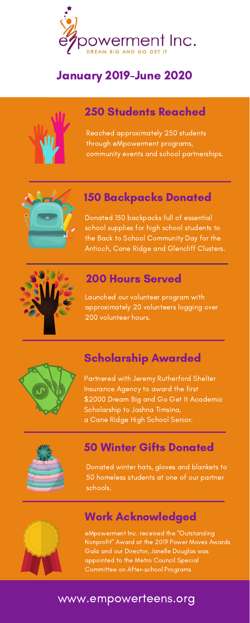Donated 150 backpacks full of essential school supplies for high school students to the Back to School Community Day for the Antioch, Cane Ridge and Glencliff Clusters.



#### 150 Backpacks Donated

eMpowerment Inc. received the "Outstanding Nonprofit" Award at the 2019 Power Moves Awards Gala and our Director, Janelle Douglas was appointed to the Metro Council Special Committee on After-school Programs

Reached approximately 250 students through eMpowerment programs, community events and school partnerships.



## 250 Students Reached

Launched our volunteer program with approximately 20 volunteers logging over 200 volunteer hours.



# 200 Hours Served

Partnered with Jeremy Rutherford Shelter Insurance Agency to award the first \$2000 Dream Big and Go Get It Academic Scholarship to Jashna Timsina, a Cane Ridge High School Senior.



# Scholarship Awarded

# Work Acknowledged

## www.empowerteens.org

Donated winter hats, gloves and blankets to 50 homeless students at one of our partner schools.



#### 50 Winter Gifts Donated



# January 2019-June 2020